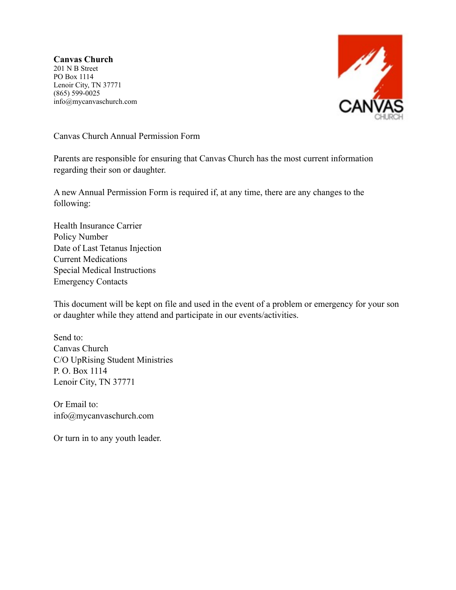**Canvas Church** 201 N B Street PO Box 1114 Lenoir City, TN 37771 (865) 599-0025 info@mycanvaschurch.com



Canvas Church Annual Permission Form

Parents are responsible for ensuring that Canvas Church has the most current information regarding their son or daughter.

A new Annual Permission Form is required if, at any time, there are any changes to the following:

Health Insurance Carrier Policy Number Date of Last Tetanus Injection Current Medications Special Medical Instructions Emergency Contacts

This document will be kept on file and used in the event of a problem or emergency for your son or daughter while they attend and participate in our events/activities.

Send to: Canvas Church C/O UpRising Student Ministries P. O. Box 1114 Lenoir City, TN 37771

Or Email to: info@mycanvaschurch.com

Or turn in to any youth leader.